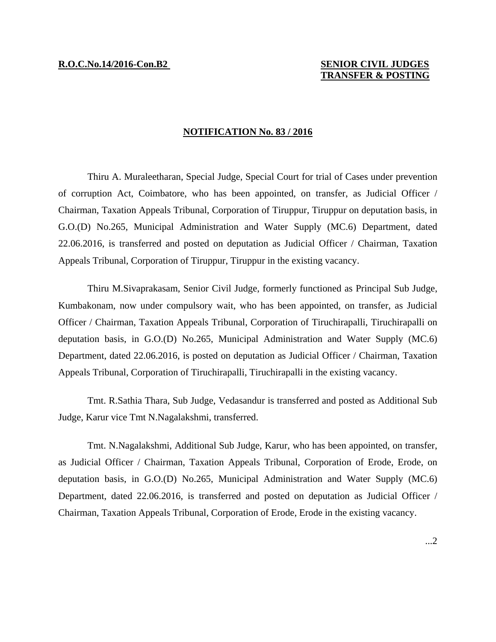## **R.O.C.No.14/2016-Con.B2 SENIOR CIVIL JUDGES TRANSFER & POSTING**

## **NOTIFICATION No. 83 / 2016**

Thiru A. Muraleetharan, Special Judge, Special Court for trial of Cases under prevention of corruption Act, Coimbatore, who has been appointed, on transfer, as Judicial Officer / Chairman, Taxation Appeals Tribunal, Corporation of Tiruppur, Tiruppur on deputation basis, in G.O.(D) No.265, Municipal Administration and Water Supply (MC.6) Department, dated 22.06.2016, is transferred and posted on deputation as Judicial Officer / Chairman, Taxation Appeals Tribunal, Corporation of Tiruppur, Tiruppur in the existing vacancy.

Thiru M.Sivaprakasam, Senior Civil Judge, formerly functioned as Principal Sub Judge, Kumbakonam, now under compulsory wait, who has been appointed, on transfer, as Judicial Officer / Chairman, Taxation Appeals Tribunal, Corporation of Tiruchirapalli, Tiruchirapalli on deputation basis, in G.O.(D) No.265, Municipal Administration and Water Supply (MC.6) Department, dated 22.06.2016, is posted on deputation as Judicial Officer / Chairman, Taxation Appeals Tribunal, Corporation of Tiruchirapalli, Tiruchirapalli in the existing vacancy.

Tmt. R.Sathia Thara, Sub Judge, Vedasandur is transferred and posted as Additional Sub Judge, Karur vice Tmt N.Nagalakshmi, transferred.

Tmt. N.Nagalakshmi, Additional Sub Judge, Karur, who has been appointed, on transfer, as Judicial Officer / Chairman, Taxation Appeals Tribunal, Corporation of Erode, Erode, on deputation basis, in G.O.(D) No.265, Municipal Administration and Water Supply (MC.6) Department, dated 22.06.2016, is transferred and posted on deputation as Judicial Officer / Chairman, Taxation Appeals Tribunal, Corporation of Erode, Erode in the existing vacancy.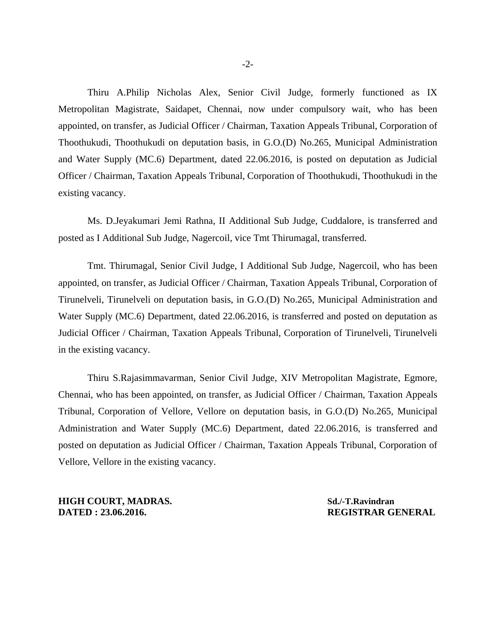Thiru A.Philip Nicholas Alex, Senior Civil Judge, formerly functioned as IX Metropolitan Magistrate, Saidapet, Chennai, now under compulsory wait, who has been appointed, on transfer, as Judicial Officer / Chairman, Taxation Appeals Tribunal, Corporation of Thoothukudi, Thoothukudi on deputation basis, in G.O.(D) No.265, Municipal Administration and Water Supply (MC.6) Department, dated 22.06.2016, is posted on deputation as Judicial Officer / Chairman, Taxation Appeals Tribunal, Corporation of Thoothukudi, Thoothukudi in the existing vacancy.

Ms. D.Jeyakumari Jemi Rathna, II Additional Sub Judge, Cuddalore, is transferred and posted as I Additional Sub Judge, Nagercoil, vice Tmt Thirumagal, transferred.

Tmt. Thirumagal, Senior Civil Judge, I Additional Sub Judge, Nagercoil, who has been appointed, on transfer, as Judicial Officer / Chairman, Taxation Appeals Tribunal, Corporation of Tirunelveli, Tirunelveli on deputation basis, in G.O.(D) No.265, Municipal Administration and Water Supply (MC.6) Department, dated 22.06.2016, is transferred and posted on deputation as Judicial Officer / Chairman, Taxation Appeals Tribunal, Corporation of Tirunelveli, Tirunelveli in the existing vacancy.

Thiru S.Rajasimmavarman, Senior Civil Judge, XIV Metropolitan Magistrate, Egmore, Chennai, who has been appointed, on transfer, as Judicial Officer / Chairman, Taxation Appeals Tribunal, Corporation of Vellore, Vellore on deputation basis, in G.O.(D) No.265, Municipal Administration and Water Supply (MC.6) Department, dated 22.06.2016, is transferred and posted on deputation as Judicial Officer / Chairman, Taxation Appeals Tribunal, Corporation of Vellore, Vellore in the existing vacancy.

**HIGH COURT, MADRAS.** Sd./-T.Ravindran **DATED : 23.06.2016. REGISTRAR GENERAL**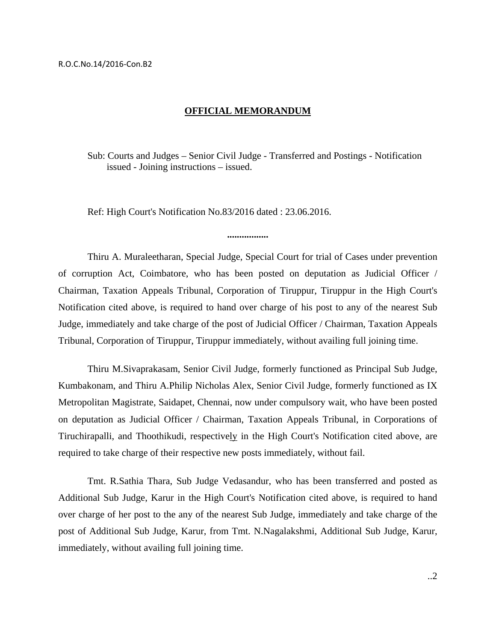## **OFFICIAL MEMORANDUM**

Sub: Courts and Judges – Senior Civil Judge - Transferred and Postings - Notification issued - Joining instructions – issued.

Ref: High Court's Notification No.83/2016 dated : 23.06.2016.

Thiru A. Muraleetharan, Special Judge, Special Court for trial of Cases under prevention of corruption Act, Coimbatore, who has been posted on deputation as Judicial Officer / Chairman, Taxation Appeals Tribunal, Corporation of Tiruppur, Tiruppur in the High Court's Notification cited above, is required to hand over charge of his post to any of the nearest Sub Judge, immediately and take charge of the post of Judicial Officer / Chairman, Taxation Appeals Tribunal, Corporation of Tiruppur, Tiruppur immediately, without availing full joining time.

**.................** 

Thiru M.Sivaprakasam, Senior Civil Judge, formerly functioned as Principal Sub Judge, Kumbakonam, and Thiru A.Philip Nicholas Alex, Senior Civil Judge, formerly functioned as IX Metropolitan Magistrate, Saidapet, Chennai, now under compulsory wait, who have been posted on deputation as Judicial Officer / Chairman, Taxation Appeals Tribunal, in Corporations of Tiruchirapalli, and Thoothikudi, respectively in the High Court's Notification cited above, are required to take charge of their respective new posts immediately, without fail.

Tmt. R.Sathia Thara, Sub Judge Vedasandur, who has been transferred and posted as Additional Sub Judge, Karur in the High Court's Notification cited above, is required to hand over charge of her post to the any of the nearest Sub Judge, immediately and take charge of the post of Additional Sub Judge, Karur, from Tmt. N.Nagalakshmi, Additional Sub Judge, Karur, immediately, without availing full joining time.